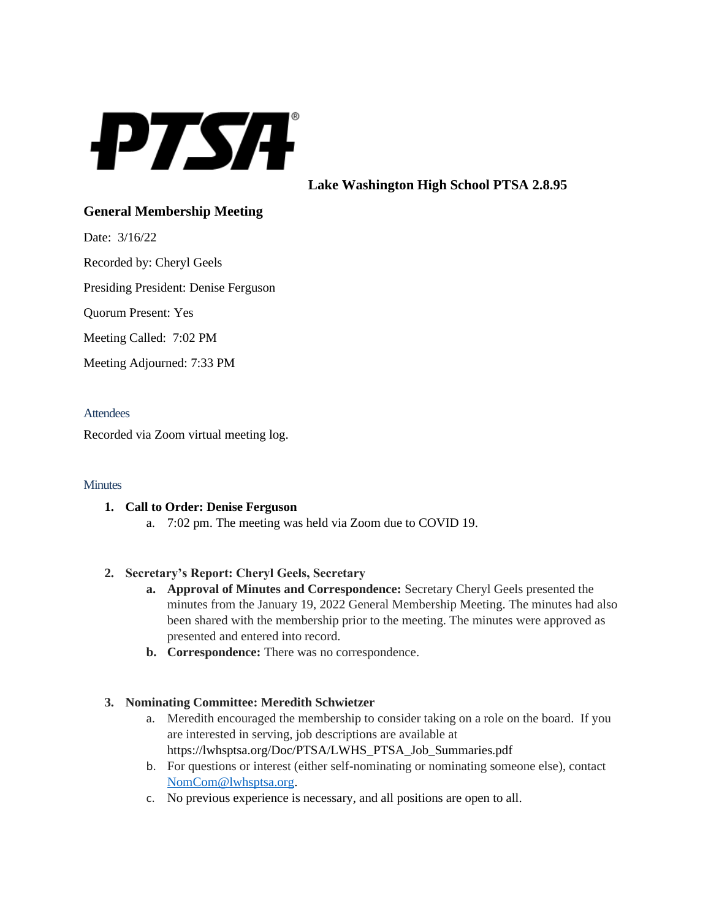

**Lake Washington High School PTSA 2.8.95**

# **General Membership Meeting**

Date: 3/16/22

Recorded by: Cheryl Geels

Presiding President: Denise Ferguson

Quorum Present: Yes

Meeting Called: 7:02 PM

Meeting Adjourned: 7:33 PM

#### **Attendees**

Recorded via Zoom virtual meeting log.

#### **Minutes**

#### **1. Call to Order: Denise Ferguson**

a. 7:02 pm. The meeting was held via Zoom due to COVID 19.

# **2. Secretary's Report: Cheryl Geels, Secretary**

- **a. Approval of Minutes and Correspondence:** Secretary Cheryl Geels presented the minutes from the January 19, 2022 General Membership Meeting. The minutes had also been shared with the membership prior to the meeting. The minutes were approved as presented and entered into record.
- **b. Correspondence:** There was no correspondence.

# **3. Nominating Committee: Meredith Schwietzer**

- a. Meredith encouraged the membership to consider taking on a role on the board. If you are interested in serving, job descriptions are available at https://lwhsptsa.org/Doc/PTSA/LWHS\_PTSA\_Job\_Summaries.pdf
- b. For questions or interest (either self-nominating or nominating someone else), contact [NomCom@lwhsptsa.org.](mailto:NomCom@lwhsptsa.org)
- c. No previous experience is necessary, and all positions are open to all.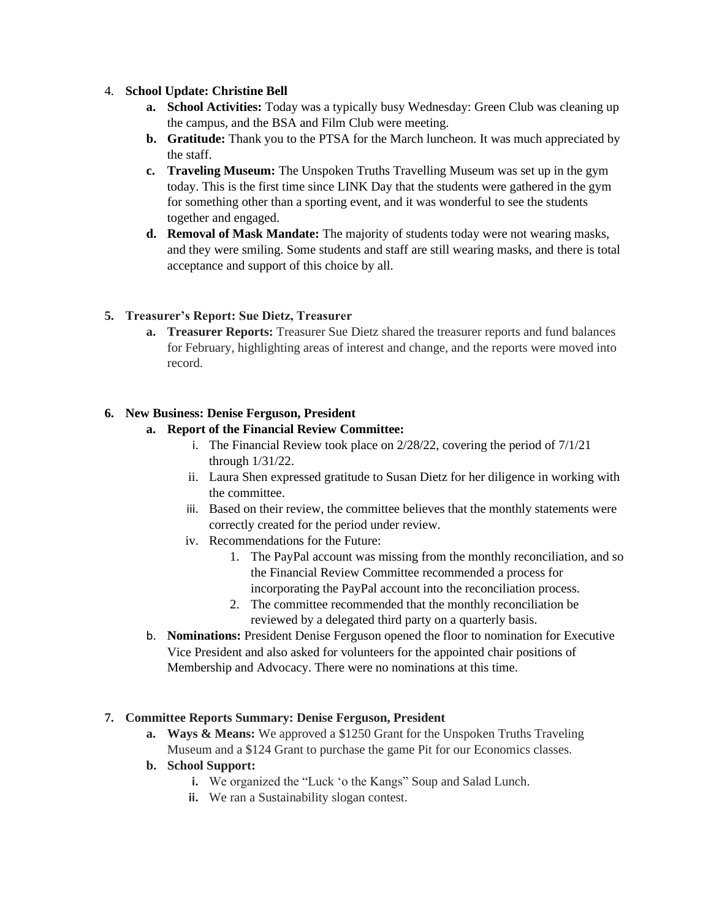### 4. **School Update: Christine Bell**

- **a. School Activities:** Today was a typically busy Wednesday: Green Club was cleaning up the campus, and the BSA and Film Club were meeting.
- **b. Gratitude:** Thank you to the PTSA for the March luncheon. It was much appreciated by the staff.
- **c. Traveling Museum:** The Unspoken Truths Travelling Museum was set up in the gym today. This is the first time since LINK Day that the students were gathered in the gym for something other than a sporting event, and it was wonderful to see the students together and engaged.
- **d. Removal of Mask Mandate:** The majority of students today were not wearing masks, and they were smiling. Some students and staff are still wearing masks, and there is total acceptance and support of this choice by all.

# **5. Treasurer's Report: Sue Dietz, Treasurer**

**a. Treasurer Reports:** Treasurer Sue Dietz shared the treasurer reports and fund balances for February, highlighting areas of interest and change, and the reports were moved into record.

# **6. New Business: Denise Ferguson, President**

# **a. Report of the Financial Review Committee:**

- i. The Financial Review took place on 2/28/22, covering the period of 7/1/21 through 1/31/22.
- ii. Laura Shen expressed gratitude to Susan Dietz for her diligence in working with the committee.
- iii. Based on their review, the committee believes that the monthly statements were correctly created for the period under review.
- iv. Recommendations for the Future:
	- 1. The PayPal account was missing from the monthly reconciliation, and so the Financial Review Committee recommended a process for incorporating the PayPal account into the reconciliation process.
	- 2. The committee recommended that the monthly reconciliation be reviewed by a delegated third party on a quarterly basis.
- b. **Nominations:** President Denise Ferguson opened the floor to nomination for Executive Vice President and also asked for volunteers for the appointed chair positions of Membership and Advocacy. There were no nominations at this time.

# **7. Committee Reports Summary: Denise Ferguson, President**

- **a. Ways & Means:** We approved a \$1250 Grant for the Unspoken Truths Traveling Museum and a \$124 Grant to purchase the game Pit for our Economics classes.
- **b. School Support:** 
	- **i.** We organized the "Luck 'o the Kangs" Soup and Salad Lunch.
	- **ii.** We ran a Sustainability slogan contest.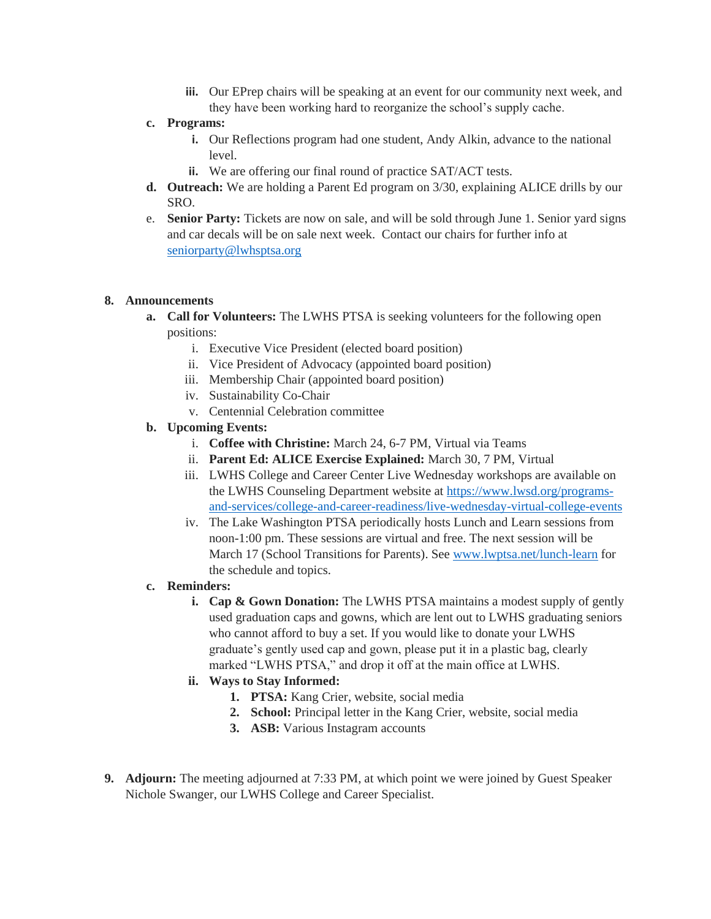**iii.** Our EPrep chairs will be speaking at an event for our community next week, and they have been working hard to reorganize the school's supply cache.

### **c. Programs:**

- **i.** Our Reflections program had one student, Andy Alkin, advance to the national level.
- **ii.** We are offering our final round of practice SAT/ACT tests.
- **d. Outreach:** We are holding a Parent Ed program on 3/30, explaining ALICE drills by our SRO.
- e. **Senior Party:** Tickets are now on sale, and will be sold through June 1. Senior yard signs and car decals will be on sale next week. Contact our chairs for further info at [seniorparty@lwhsptsa.org](mailto:seniorparty@lwhsptsa.org)

#### **8. Announcements**

- **a. Call for Volunteers:** The LWHS PTSA is seeking volunteers for the following open positions:
	- i. Executive Vice President (elected board position)
	- ii. Vice President of Advocacy (appointed board position)
	- iii. Membership Chair (appointed board position)
	- iv. Sustainability Co-Chair
	- v. Centennial Celebration committee

### **b. Upcoming Events:**

- i. **Coffee with Christine:** March 24, 6-7 PM, Virtual via Teams
- ii. **Parent Ed: ALICE Exercise Explained:** March 30, 7 PM, Virtual
- iii. LWHS College and Career Center Live Wednesday workshops are available on the LWHS Counseling Department website a[t https://www.lwsd.org/programs](https://www.lwsd.org/programs-and-services/college-and-career-readiness/live-wednesday-virtual-college-events)[and-services/college-and-career-readiness/live-wednesday-virtual-college-events](https://www.lwsd.org/programs-and-services/college-and-career-readiness/live-wednesday-virtual-college-events)
- iv. The Lake Washington PTSA periodically hosts Lunch and Learn sessions from noon-1:00 pm. These sessions are virtual and free. The next session will be March 17 (School Transitions for Parents). See [www.lwptsa.net/lunch-learn](http://www.lwptsa.net/lunch-learn) for the schedule and topics.

#### **c. Reminders:**

- **i. Cap & Gown Donation:** The LWHS PTSA maintains a modest supply of gently used graduation caps and gowns, which are lent out to LWHS graduating seniors who cannot afford to buy a set. If you would like to donate your LWHS graduate's gently used cap and gown, please put it in a plastic bag, clearly marked "LWHS PTSA," and drop it off at the main office at LWHS.
- **ii. Ways to Stay Informed:**
	- **1. PTSA:** Kang Crier, website, social media
	- **2. School:** Principal letter in the Kang Crier, website, social media
	- **3. ASB:** Various Instagram accounts
- **9. Adjourn:** The meeting adjourned at 7:33 PM, at which point we were joined by Guest Speaker Nichole Swanger, our LWHS College and Career Specialist.